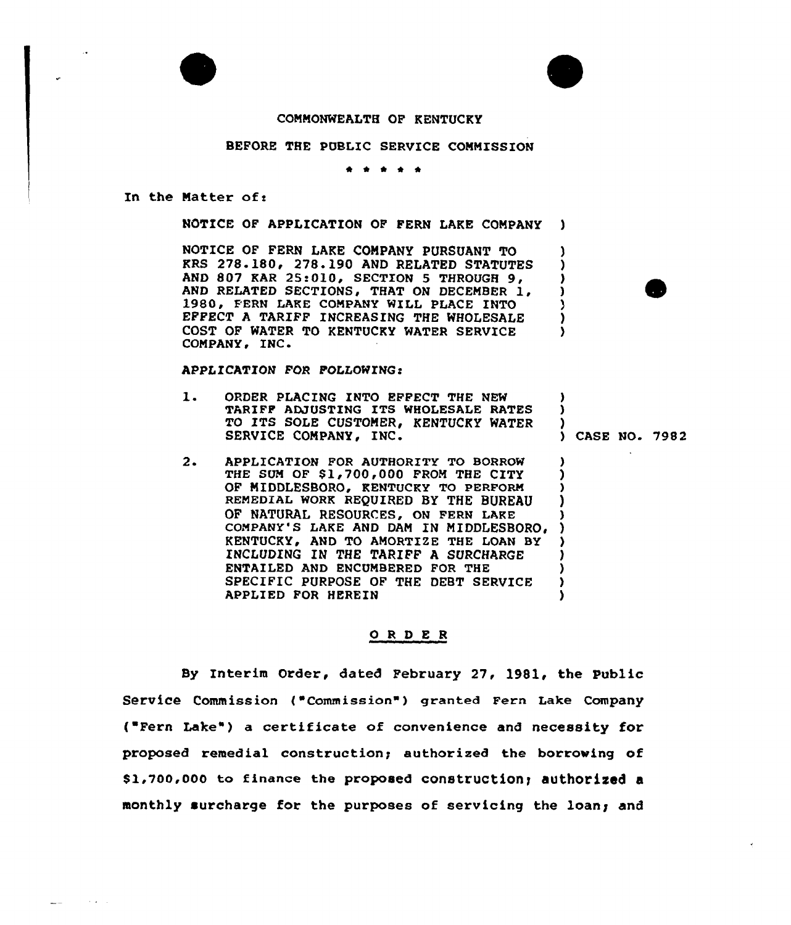



A

<sup>)</sup> ۰,

١.

) CASE NO. 7982

## COMMONWEALTH OF KENTUCKY

## BEFORE THE PUBLIC SERVICE COMMISSION

\* <sup>4</sup> \*

In the Matter of:

**Contact Contact** 

 $\sim$ 

NOTICE OF APPLICATION OF FERN LAKE COMPANY )

NOTICE OF FERN LAKE COMPANY PURSUANT TO KRS <sup>278</sup> 180'78.190 AND RELATED STATUTES AND 807 KAR 25:010, SECTION 5 THROUGH 9, AND RELATED SECTIONS, THAT ON DECEMBER 1, 1980, FERN LAKE COMPANY WILL PLACE INTO EFFECT <sup>A</sup> TARIFF INCREASING THE WHOLESALE COST OF WATER TO KENTUCKY WATER SERVICE COMPANY, INC.

## APPLICATION FOR FOLLOWING!

- $\mathbf 1$ . ORDER PLACING INTO EFFECT THE NEW ) TARIFF ADJUSTING ITS WHOLESALE RATES ) TO ITS SOLE CUSTOMER, KENTUCKY WATER  $\frac{1}{2}$ SERVICE COMPANY, INC.
- $2.$ APPLICATION POR AUTHORITY TG BORROW THE SUM OF \$1,700,000 FROM THE CITY OF MIDDLESBORO, KENTUCKY TO PERFORM REMEDIAL WORK REQUIRED BY THE BUREAU OF NATURAL RESOURCES, ON FERN LAKE COMPANY'S LAKE AND DAM IN MIDDLESBORO, KENTUCKY, AND TO AMORTIZE THE LOAN BY INCLUDING IN THE TARIFF A SURCHARGE ENTAILED AND ENCUMBERED POR THE SPECIFIC PURPOSE OF THE DEBT SERVICE APPLIED FOR HEREIN

## ORDER

By Interim Order, dated February 27, 198l, the Public Service Commission ("Commission") granted Fern Lake Company ( Fern Lake" ) a certificate of convenience and necessity for proposed remedial construction; authorised the borrowing of \$1,700,000 to finance the proposed construction; authorized a monthly surcharge for the purposes of servicing the loans and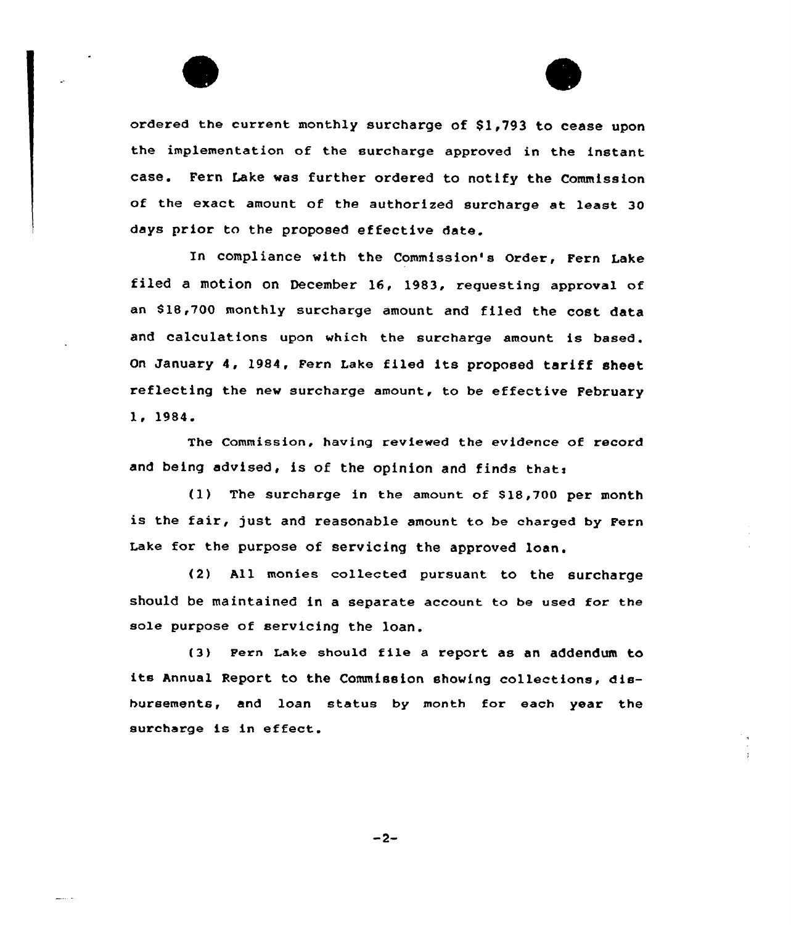ordered the current monthly surcharge of \$1,793 to cease upon the implementation of the surcharge approved in the instant case. Fern Lake was further ordered to notify the Commission of the exact amount of the authorized surcharge at least 30 days prior to the proposed effective date.

In compliance with the Commission's Order, Fern Lake filed a motion on December 16, 1983, requesting approval of an S18,700 monthly surcharge amount and filed the cost data and calculations upon which the surcharge amount is based. on January 4, 1984, Fern Lake filed its proposed tariff sheet reflecting the new surcharge amount, to be effective February 1, 1984.

The Commission, having reviewed the evidence of record and being advised, is of the opinion and finds that:

(1) The surcharge in the amount of S18,700 per month is the fair, just and reasonable amount to be charged by Fern Lake for the purpose of servicing the approved loan.

(2) All monies collected pursuant to the surcharge should be maintained in a separate account to be used for the sole purpose of servicing the loan.

(3) Fern Lake should file a report as an addendum to its Annual Report to the Commission showing collections, disbursements, and loan status by month for each year the surcharge is in effect.

 $-2-$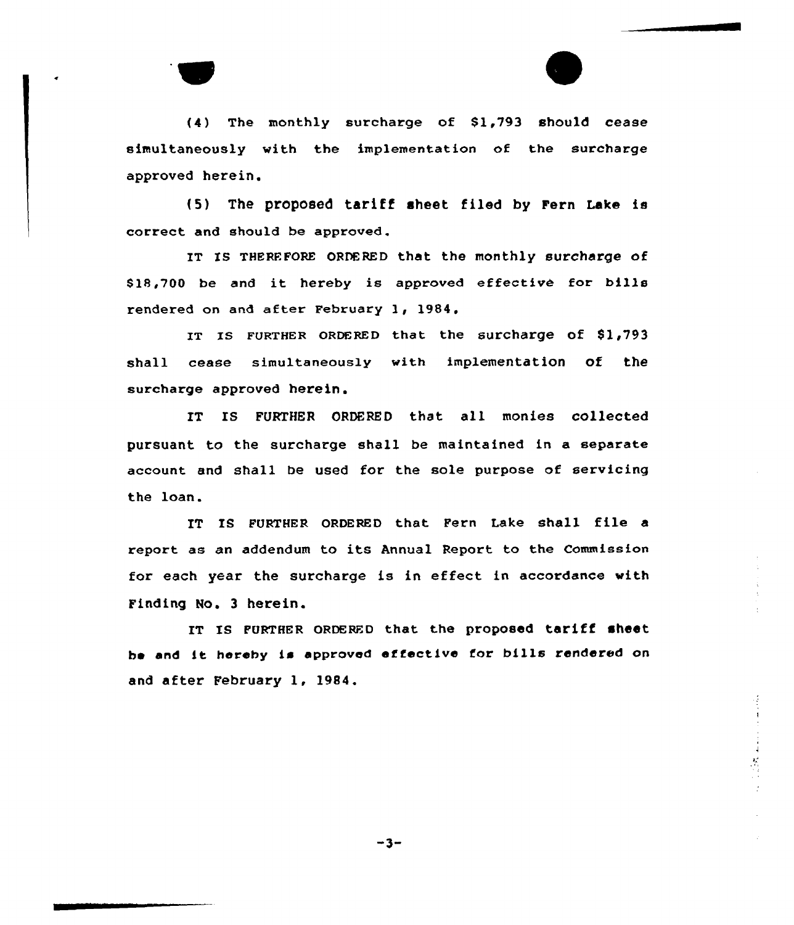$(4)$  The monthly surcharge of \$1,793 should cease simultaneously with the implementation of the surcharge approved herein.

{5) The proposed tariff sheet filed by Fern Lake is correct and should be approved.

IT IS THEREFORE ORDERED that the monthly surcharge of \$ 18,700 be and it hereby is approved effective for bills rendered on and after February 1, 1984,

IT IS FURTHER ORDERED that the surcharge of  $$1,793$ shall cease simultaneously with implementation of the surcharge approved herein.

IT IS FURTHER ORDERED that all monies collected pursuant to the surcharge shall be maintained in a separate account and shall be used for the sole purpose of servicing the loan.

IT IS FURTHER ORDERED that Fern Lake shall file a report as an addendum to its Annual Report to the Commission for each year the surcharge is in effect in accordance with Finding No. 3 herein.

IT Is FURTHER oRDERED that the proposed tariff sheet be and it hereby is approved effective for bills rendered on and after February 1, 1984.

 $-3-$